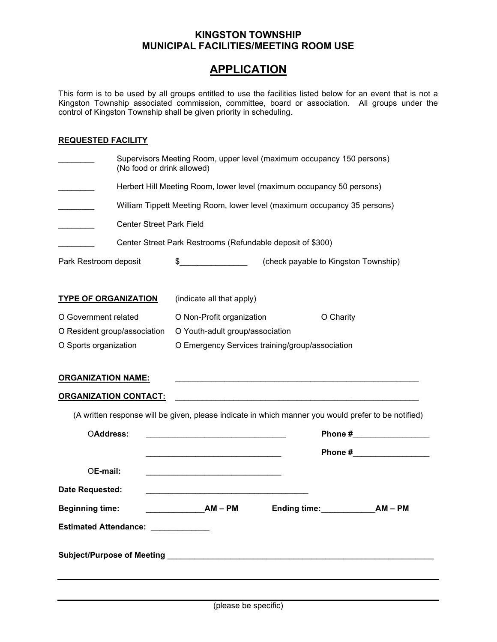## KINGSTON TOWNSHIP MUNICIPAL FACILITIES/MEETING ROOM USE

## **APPLICATION**

This form is to be used by all groups entitled to use the facilities listed below for an event that is not a Kingston Township associated commission, committee, board or association. All groups under the control of Kingston Township shall be given priority in scheduling.

## REQUESTED FACILITY

|                                                                                                                                                                                                                               | Supervisors Meeting Room, upper level (maximum occupancy 150 persons)<br>(No food or drink allowed)                                                                                  |  |  |
|-------------------------------------------------------------------------------------------------------------------------------------------------------------------------------------------------------------------------------|--------------------------------------------------------------------------------------------------------------------------------------------------------------------------------------|--|--|
|                                                                                                                                                                                                                               | Herbert Hill Meeting Room, lower level (maximum occupancy 50 persons)<br>William Tippett Meeting Room, lower level (maximum occupancy 35 persons)<br><b>Center Street Park Field</b> |  |  |
|                                                                                                                                                                                                                               |                                                                                                                                                                                      |  |  |
|                                                                                                                                                                                                                               |                                                                                                                                                                                      |  |  |
|                                                                                                                                                                                                                               | Center Street Park Restrooms (Refundable deposit of \$300)                                                                                                                           |  |  |
| Park Restroom deposit                                                                                                                                                                                                         | \$_______________________(check payable to Kingston Township)                                                                                                                        |  |  |
| <b>TYPE OF ORGANIZATION</b>                                                                                                                                                                                                   | (indicate all that apply)                                                                                                                                                            |  |  |
| O Government related                                                                                                                                                                                                          | O Non-Profit organization<br>O Charity                                                                                                                                               |  |  |
| O Resident group/association                                                                                                                                                                                                  | O Youth-adult group/association                                                                                                                                                      |  |  |
| O Sports organization                                                                                                                                                                                                         | O Emergency Services training/group/association                                                                                                                                      |  |  |
| <b>ORGANIZATION NAME:</b>                                                                                                                                                                                                     | <u> 1989 - Johann Stoff, amerikansk politiker (d. 1989)</u>                                                                                                                          |  |  |
| <u> ORGANIZATION CONTACT:</u>                                                                                                                                                                                                 |                                                                                                                                                                                      |  |  |
|                                                                                                                                                                                                                               | (A written response will be given, please indicate in which manner you would prefer to be notified)                                                                                  |  |  |
| OAddress:                                                                                                                                                                                                                     | Phone #___________________<br><u> 1989 - Johann Barbara, martxa alemaniar a</u>                                                                                                      |  |  |
|                                                                                                                                                                                                                               | Phone #__________________<br>the control of the control of the control of the control of the control of the control of                                                               |  |  |
| OE-mail:                                                                                                                                                                                                                      | the control of the control of the control of the control of the control of the control of                                                                                            |  |  |
| Date Requested:                                                                                                                                                                                                               | the control of the control of the control of the control of the control of the control of                                                                                            |  |  |
| <b>Beginning time:</b>                                                                                                                                                                                                        | $AM-PM$<br>Ending time:<br>$AM - PM$                                                                                                                                                 |  |  |
| Estimated Attendance: National Property of the Second Second Second Second Second Second Second Second Second Second Second Second Second Second Second Second Second Second Second Second Second Second Second Second Second |                                                                                                                                                                                      |  |  |
|                                                                                                                                                                                                                               |                                                                                                                                                                                      |  |  |